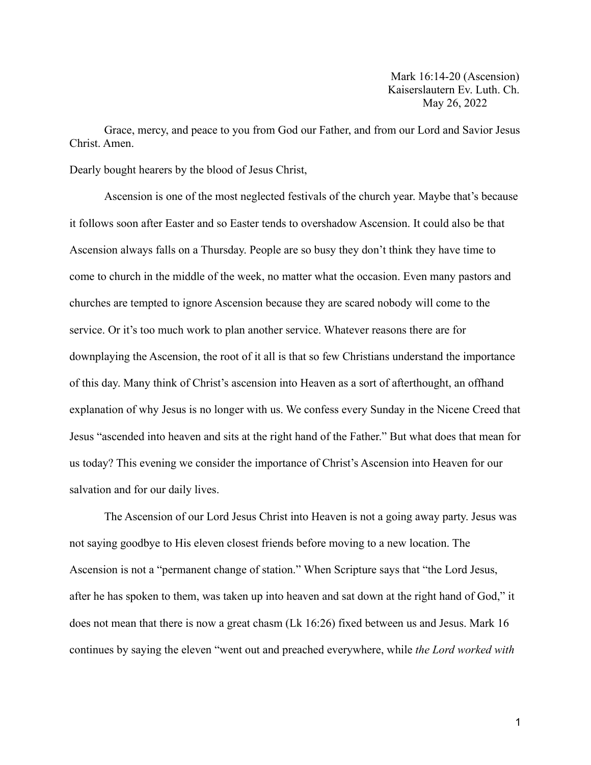Mark 16:14-20 (Ascension) Kaiserslautern Ev. Luth. Ch. May 26, 2022

Grace, mercy, and peace to you from God our Father, and from our Lord and Savior Jesus Christ. Amen.

Dearly bought hearers by the blood of Jesus Christ,

Ascension is one of the most neglected festivals of the church year. Maybe that's because it follows soon after Easter and so Easter tends to overshadow Ascension. It could also be that Ascension always falls on a Thursday. People are so busy they don't think they have time to come to church in the middle of the week, no matter what the occasion. Even many pastors and churches are tempted to ignore Ascension because they are scared nobody will come to the service. Or it's too much work to plan another service. Whatever reasons there are for downplaying the Ascension, the root of it all is that so few Christians understand the importance of this day. Many think of Christ's ascension into Heaven as a sort of afterthought, an offhand explanation of why Jesus is no longer with us. We confess every Sunday in the Nicene Creed that Jesus "ascended into heaven and sits at the right hand of the Father." But what does that mean for us today? This evening we consider the importance of Christ's Ascension into Heaven for our salvation and for our daily lives.

The Ascension of our Lord Jesus Christ into Heaven is not a going away party. Jesus was not saying goodbye to His eleven closest friends before moving to a new location. The Ascension is not a "permanent change of station." When Scripture says that "the Lord Jesus, after he has spoken to them, was taken up into heaven and sat down at the right hand of God," it does not mean that there is now a great chasm (Lk 16:26) fixed between us and Jesus. Mark 16 continues by saying the eleven "went out and preached everywhere, while *the Lord worked with*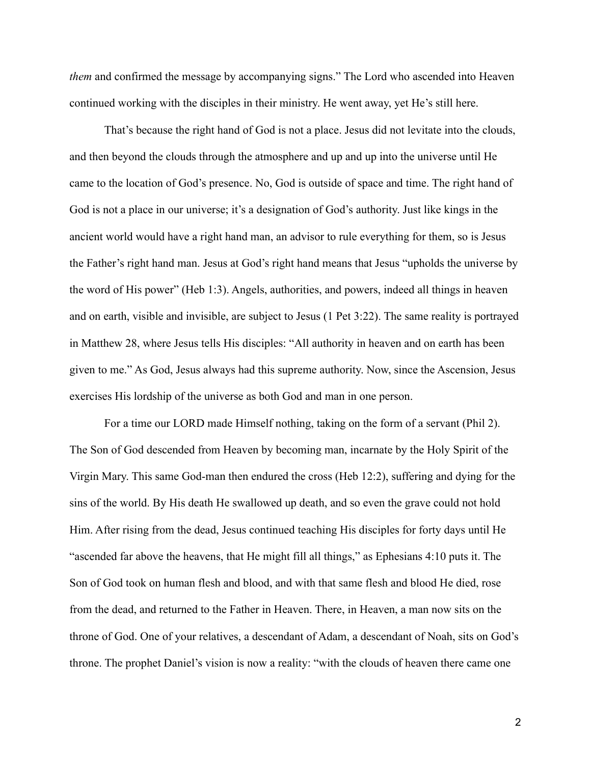*them* and confirmed the message by accompanying signs." The Lord who ascended into Heaven continued working with the disciples in their ministry. He went away, yet He's still here.

That's because the right hand of God is not a place. Jesus did not levitate into the clouds, and then beyond the clouds through the atmosphere and up and up into the universe until He came to the location of God's presence. No, God is outside of space and time. The right hand of God is not a place in our universe; it's a designation of God's authority. Just like kings in the ancient world would have a right hand man, an advisor to rule everything for them, so is Jesus the Father's right hand man. Jesus at God's right hand means that Jesus "upholds the universe by the word of His power" (Heb 1:3). Angels, authorities, and powers, indeed all things in heaven and on earth, visible and invisible, are subject to Jesus (1 Pet 3:22). The same reality is portrayed in Matthew 28, where Jesus tells His disciples: "All authority in heaven and on earth has been given to me." As God, Jesus always had this supreme authority. Now, since the Ascension, Jesus exercises His lordship of the universe as both God and man in one person.

For a time our LORD made Himself nothing, taking on the form of a servant (Phil 2). The Son of God descended from Heaven by becoming man, incarnate by the Holy Spirit of the Virgin Mary. This same God-man then endured the cross (Heb 12:2), suffering and dying for the sins of the world. By His death He swallowed up death, and so even the grave could not hold Him. After rising from the dead, Jesus continued teaching His disciples for forty days until He "ascended far above the heavens, that He might fill all things," as Ephesians 4:10 puts it. The Son of God took on human flesh and blood, and with that same flesh and blood He died, rose from the dead, and returned to the Father in Heaven. There, in Heaven, a man now sits on the throne of God. One of your relatives, a descendant of Adam, a descendant of Noah, sits on God's throne. The prophet Daniel's vision is now a reality: "with the clouds of heaven there came one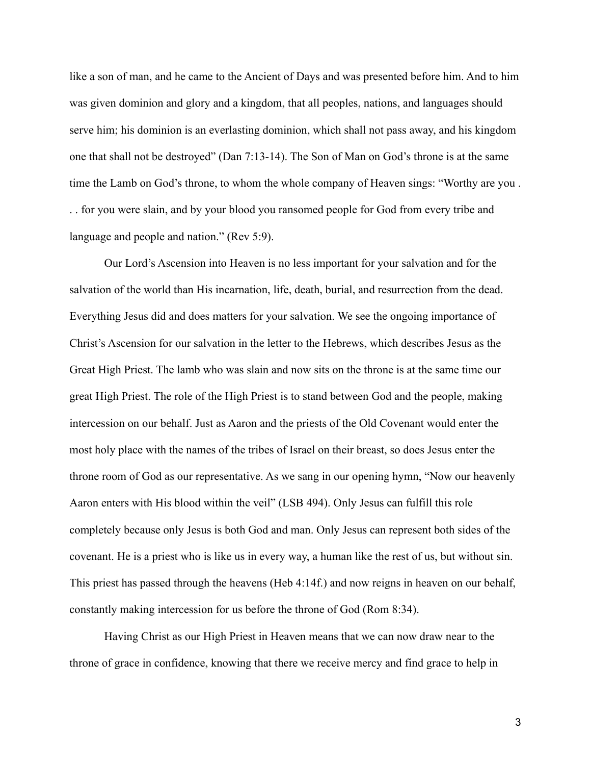like a son of man, and he came to the Ancient of Days and was presented before him. And to him was given dominion and glory and a kingdom, that all peoples, nations, and languages should serve him; his dominion is an everlasting dominion, which shall not pass away, and his kingdom one that shall not be destroyed" (Dan 7:13-14). The Son of Man on God's throne is at the same time the Lamb on God's throne, to whom the whole company of Heaven sings: "Worthy are you . . . for you were slain, and by your blood you ransomed people for God from every tribe and language and people and nation." (Rev 5:9).

Our Lord's Ascension into Heaven is no less important for your salvation and for the salvation of the world than His incarnation, life, death, burial, and resurrection from the dead. Everything Jesus did and does matters for your salvation. We see the ongoing importance of Christ's Ascension for our salvation in the letter to the Hebrews, which describes Jesus as the Great High Priest. The lamb who was slain and now sits on the throne is at the same time our great High Priest. The role of the High Priest is to stand between God and the people, making intercession on our behalf. Just as Aaron and the priests of the Old Covenant would enter the most holy place with the names of the tribes of Israel on their breast, so does Jesus enter the throne room of God as our representative. As we sang in our opening hymn, "Now our heavenly Aaron enters with His blood within the veil" (LSB 494). Only Jesus can fulfill this role completely because only Jesus is both God and man. Only Jesus can represent both sides of the covenant. He is a priest who is like us in every way, a human like the rest of us, but without sin. This priest has passed through the heavens (Heb 4:14f.) and now reigns in heaven on our behalf, constantly making intercession for us before the throne of God (Rom 8:34).

Having Christ as our High Priest in Heaven means that we can now draw near to the throne of grace in confidence, knowing that there we receive mercy and find grace to help in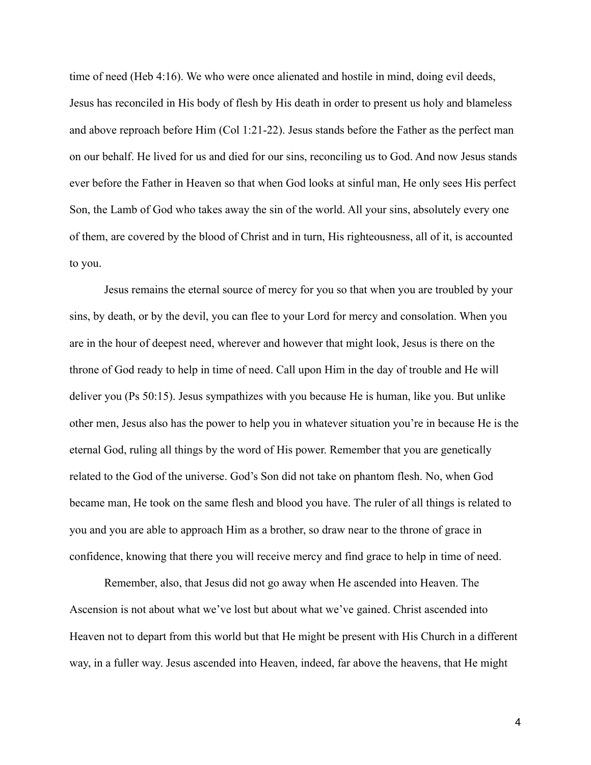time of need (Heb 4:16). We who were once alienated and hostile in mind, doing evil deeds, Jesus has reconciled in His body of flesh by His death in order to present us holy and blameless and above reproach before Him (Col 1:21-22). Jesus stands before the Father as the perfect man on our behalf. He lived for us and died for our sins, reconciling us to God. And now Jesus stands ever before the Father in Heaven so that when God looks at sinful man, He only sees His perfect Son, the Lamb of God who takes away the sin of the world. All your sins, absolutely every one of them, are covered by the blood of Christ and in turn, His righteousness, all of it, is accounted to you.

Jesus remains the eternal source of mercy for you so that when you are troubled by your sins, by death, or by the devil, you can flee to your Lord for mercy and consolation. When you are in the hour of deepest need, wherever and however that might look, Jesus is there on the throne of God ready to help in time of need. Call upon Him in the day of trouble and He will deliver you (Ps 50:15). Jesus sympathizes with you because He is human, like you. But unlike other men, Jesus also has the power to help you in whatever situation you're in because He is the eternal God, ruling all things by the word of His power. Remember that you are genetically related to the God of the universe. God's Son did not take on phantom flesh. No, when God became man, He took on the same flesh and blood you have. The ruler of all things is related to you and you are able to approach Him as a brother, so draw near to the throne of grace in confidence, knowing that there you will receive mercy and find grace to help in time of need.

Remember, also, that Jesus did not go away when He ascended into Heaven. The Ascension is not about what we've lost but about what we've gained. Christ ascended into Heaven not to depart from this world but that He might be present with His Church in a different way, in a fuller way. Jesus ascended into Heaven, indeed, far above the heavens, that He might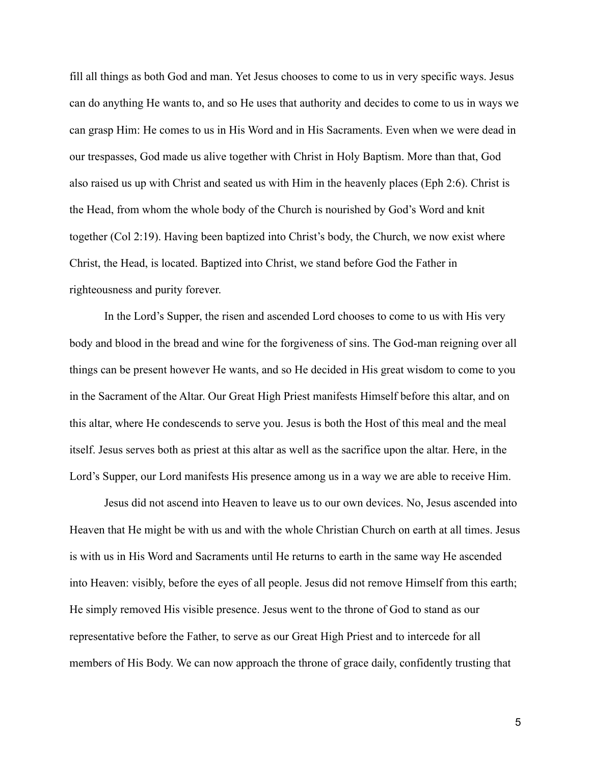fill all things as both God and man. Yet Jesus chooses to come to us in very specific ways. Jesus can do anything He wants to, and so He uses that authority and decides to come to us in ways we can grasp Him: He comes to us in His Word and in His Sacraments. Even when we were dead in our trespasses, God made us alive together with Christ in Holy Baptism. More than that, God also raised us up with Christ and seated us with Him in the heavenly places (Eph 2:6). Christ is the Head, from whom the whole body of the Church is nourished by God's Word and knit together (Col 2:19). Having been baptized into Christ's body, the Church, we now exist where Christ, the Head, is located. Baptized into Christ, we stand before God the Father in righteousness and purity forever.

In the Lord's Supper, the risen and ascended Lord chooses to come to us with His very body and blood in the bread and wine for the forgiveness of sins. The God-man reigning over all things can be present however He wants, and so He decided in His great wisdom to come to you in the Sacrament of the Altar. Our Great High Priest manifests Himself before this altar, and on this altar, where He condescends to serve you. Jesus is both the Host of this meal and the meal itself. Jesus serves both as priest at this altar as well as the sacrifice upon the altar. Here, in the Lord's Supper, our Lord manifests His presence among us in a way we are able to receive Him.

Jesus did not ascend into Heaven to leave us to our own devices. No, Jesus ascended into Heaven that He might be with us and with the whole Christian Church on earth at all times. Jesus is with us in His Word and Sacraments until He returns to earth in the same way He ascended into Heaven: visibly, before the eyes of all people. Jesus did not remove Himself from this earth; He simply removed His visible presence. Jesus went to the throne of God to stand as our representative before the Father, to serve as our Great High Priest and to intercede for all members of His Body. We can now approach the throne of grace daily, confidently trusting that